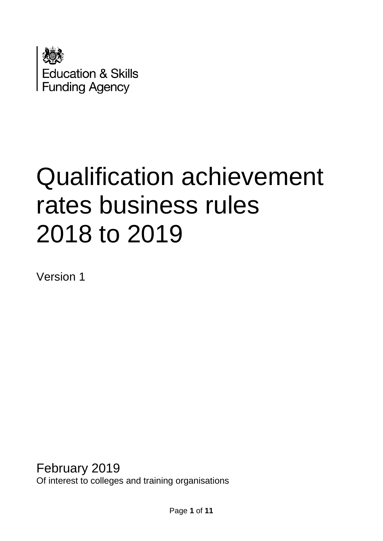

# Qualification achievement rates business rules 2018 to 2019

Version 1

February 2019 Of interest to colleges and training organisations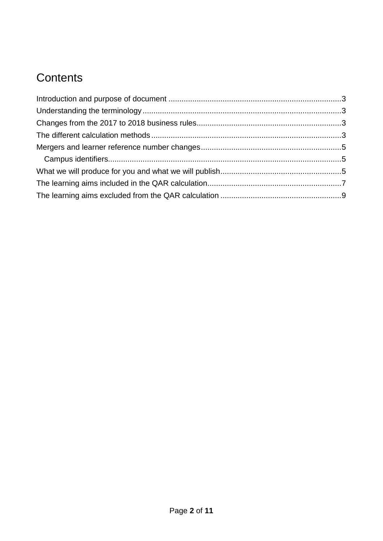## **Contents**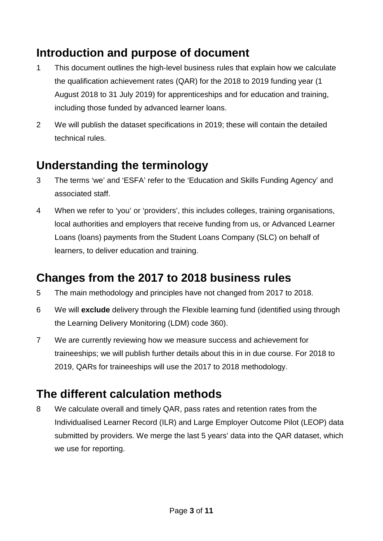## <span id="page-2-0"></span>**Introduction and purpose of document**

- 1 This document outlines the high-level business rules that explain how we calculate the qualification achievement rates (QAR) for the 2018 to 2019 funding year (1 August 2018 to 31 July 2019) for apprenticeships and for education and training, including those funded by advanced learner loans.
- 2 We will publish the dataset specifications in 2019; these will contain the detailed technical rules.

## <span id="page-2-1"></span>**Understanding the terminology**

- 3 The terms 'we' and 'ESFA' refer to the 'Education and Skills Funding Agency' and associated staff.
- 4 When we refer to 'you' or 'providers', this includes colleges, training organisations, local authorities and employers that receive funding from us, or Advanced Learner Loans (loans) payments from the Student Loans Company (SLC) on behalf of learners, to deliver education and training.

## <span id="page-2-2"></span>**Changes from the 2017 to 2018 business rules**

- 5 The main methodology and principles have not changed from 2017 to 2018.
- 6 We will **exclude** delivery through the Flexible learning fund (identified using through the Learning Delivery Monitoring (LDM) code 360).
- 7 We are currently reviewing how we measure success and achievement for traineeships; we will publish further details about this in in due course. For 2018 to 2019, QARs for traineeships will use the 2017 to 2018 methodology.

## <span id="page-2-3"></span>**The different calculation methods**

8 We calculate overall and timely QAR, pass rates and retention rates from the Individualised Learner Record (ILR) and Large Employer Outcome Pilot (LEOP) data submitted by providers. We merge the last 5 years' data into the QAR dataset, which we use for reporting.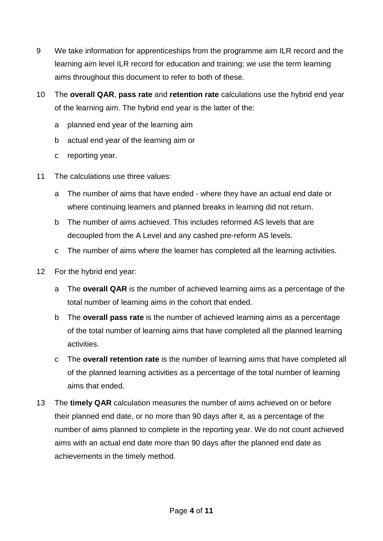- 9 We take information for apprenticeships from the programme aim ILR record and the learning aim level ILR record for education and training; we use the term learning aims throughout this document to refer to both of these.
- 10 The **overall QAR**, **pass rate** and **retention rate** calculations use the hybrid end year of the learning aim. The hybrid end year is the latter of the:
	- a planned end year of the learning aim
	- b actual end year of the learning aim or
	- c reporting year.
- 11 The calculations use three values:
	- a The number of aims that have ended where they have an actual end date or where continuing learners and planned breaks in learning did not return.
	- b The number of aims achieved. This includes reformed AS levels that are decoupled from the A Level and any cashed pre-reform AS levels.
	- c The number of aims where the learner has completed all the learning activities.
- 12 For the hybrid end year:
	- a The **overall QAR** is the number of achieved learning aims as a percentage of the total number of learning aims in the cohort that ended.
	- b The **overall pass rate** is the number of achieved learning aims as a percentage of the total number of learning aims that have completed all the planned learning activities.
	- c The **overall retention rate** is the number of learning aims that have completed all of the planned learning activities as a percentage of the total number of learning aims that ended.
- 13 The **timely QAR** calculation measures the number of aims achieved on or before their planned end date, or no more than 90 days after it, as a percentage of the number of aims planned to complete in the reporting year. We do not count achieved aims with an actual end date more than 90 days after the planned end date as achievements in the timely method.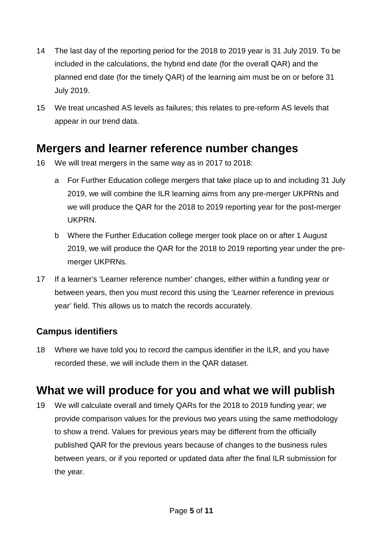- 14 The last day of the reporting period for the 2018 to 2019 year is 31 July 2019. To be included in the calculations, the hybrid end date (for the overall QAR) and the planned end date (for the timely QAR) of the learning aim must be on or before 31 July 2019.
- 15 We treat uncashed AS levels as failures; this relates to pre-reform AS levels that appear in our trend data.

### <span id="page-4-0"></span>**Mergers and learner reference number changes**

- 16 We will treat mergers in the same way as in 2017 to 2018:
	- a For Further Education college mergers that take place up to and including 31 July 2019, we will combine the ILR learning aims from any pre-merger UKPRNs and we will produce the QAR for the 2018 to 2019 reporting year for the post-merger UKPRN.
	- b Where the Further Education college merger took place on or after 1 August 2019, we will produce the QAR for the 2018 to 2019 reporting year under the premerger UKPRNs.
- 17 If a learner's 'Learner reference number' changes, either within a funding year or between years, then you must record this using the 'Learner reference in previous year' field. This allows us to match the records accurately.

#### <span id="page-4-1"></span>**Campus identifiers**

18 Where we have told you to record the campus identifier in the ILR, and you have recorded these, we will include them in the QAR dataset.

## <span id="page-4-2"></span>**What we will produce for you and what we will publish**

19 We will calculate overall and timely QARs for the 2018 to 2019 funding year; we provide comparison values for the previous two years using the same methodology to show a trend. Values for previous years may be different from the officially published QAR for the previous years because of changes to the business rules between years, or if you reported or updated data after the final ILR submission for the year.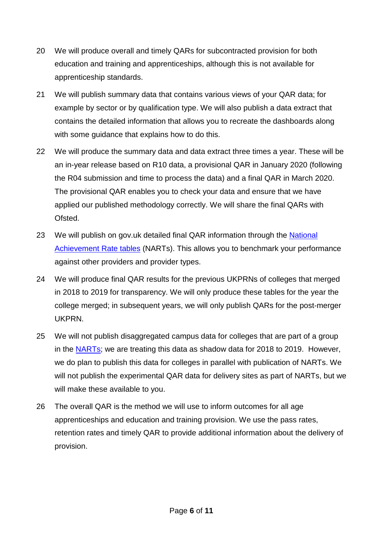- 20 We will produce overall and timely QARs for subcontracted provision for both education and training and apprenticeships, although this is not available for apprenticeship standards.
- 21 We will publish summary data that contains various views of your QAR data; for example by sector or by qualification type. We will also publish a data extract that contains the detailed information that allows you to recreate the dashboards along with some guidance that explains how to do this.
- 22 We will produce the summary data and data extract three times a year. These will be an in-year release based on R10 data, a provisional QAR in January 2020 (following the R04 submission and time to process the data) and a final QAR in March 2020. The provisional QAR enables you to check your data and ensure that we have applied our published methodology correctly. We will share the final QARs with Ofsted.
- 23 We will publish on gov.uk detailed final QAR information through the National [Achievement Rate tables](https://www.gov.uk/government/collections/qualification-achievement-rates-and-minimum-standards#national-achievement-rates-tables) (NARTs). This allows you to benchmark your performance against other providers and provider types.
- 24 We will produce final QAR results for the previous UKPRNs of colleges that merged in 2018 to 2019 for transparency. We will only produce these tables for the year the college merged; in subsequent years, we will only publish QARs for the post-merger UKPRN.
- 25 We will not publish disaggregated campus data for colleges that are part of a group in the [NARTs;](https://www.gov.uk/government/collections/qualification-achievement-rates-and-minimum-standards#national-achievement-rates-tables) we are treating this data as shadow data for 2018 to 2019. However, we do plan to publish this data for colleges in parallel with publication of NARTs. We will not publish the experimental QAR data for delivery sites as part of NARTs, but we will make these available to you.
- 26 The overall QAR is the method we will use to inform outcomes for all age apprenticeships and education and training provision. We use the pass rates, retention rates and timely QAR to provide additional information about the delivery of provision.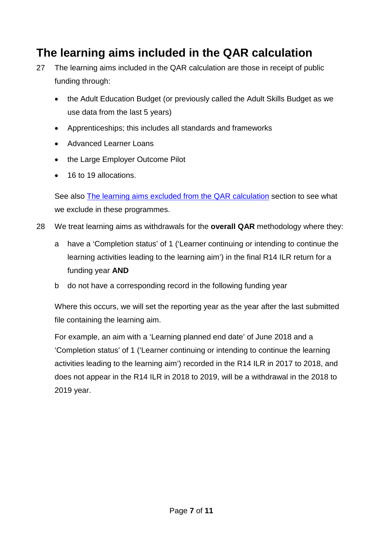## <span id="page-6-0"></span>**The learning aims included in the QAR calculation**

- 27 The learning aims included in the QAR calculation are those in receipt of public funding through:
	- the Adult Education Budget (or previously called the Adult Skills Budget as we use data from the last 5 years)
	- Apprenticeships; this includes all standards and frameworks
	- Advanced Learner Loans
	- the Large Employer Outcome Pilot
	- 16 to 19 allocations.

See also [The learning aims excluded from the QAR calculation](#page-8-0) section to see what we exclude in these programmes.

- 28 We treat learning aims as withdrawals for the **overall QAR** methodology where they:
	- a have a 'Completion status' of 1 ('Learner continuing or intending to continue the learning activities leading to the learning aim') in the final R14 ILR return for a funding year **AND**
	- b do not have a corresponding record in the following funding year

Where this occurs, we will set the reporting year as the year after the last submitted file containing the learning aim.

For example, an aim with a 'Learning planned end date' of June 2018 and a 'Completion status' of 1 ('Learner continuing or intending to continue the learning activities leading to the learning aim') recorded in the R14 ILR in 2017 to 2018, and does not appear in the R14 ILR in 2018 to 2019, will be a withdrawal in the 2018 to 2019 year.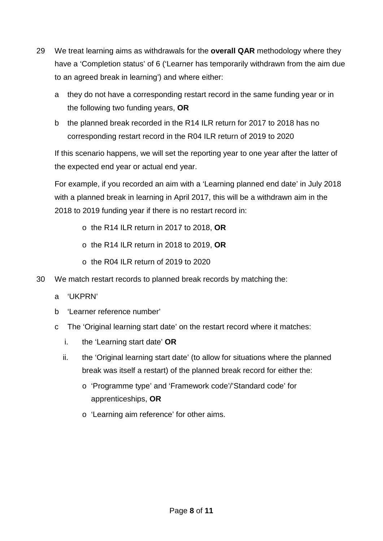- 29 We treat learning aims as withdrawals for the **overall QAR** methodology where they have a 'Completion status' of 6 ('Learner has temporarily withdrawn from the aim due to an agreed break in learning') and where either:
	- a they do not have a corresponding restart record in the same funding year or in the following two funding years, **OR**
	- b the planned break recorded in the R14 ILR return for 2017 to 2018 has no corresponding restart record in the R04 ILR return of 2019 to 2020

If this scenario happens, we will set the reporting year to one year after the latter of the expected end year or actual end year.

For example, if you recorded an aim with a 'Learning planned end date' in July 2018 with a planned break in learning in April 2017, this will be a withdrawn aim in the 2018 to 2019 funding year if there is no restart record in:

- o the R14 ILR return in 2017 to 2018, **OR**
- o the R14 ILR return in 2018 to 2019, **OR**
- $\circ$  the R04 II R return of 2019 to 2020
- 30 We match restart records to planned break records by matching the:
	- a 'UKPRN'
	- b 'Learner reference number'
	- c The 'Original learning start date' on the restart record where it matches:
		- i. the 'Learning start date' **OR**
		- ii. the 'Original learning start date' (to allow for situations where the planned break was itself a restart) of the planned break record for either the:
			- o 'Programme type' and 'Framework code'/'Standard code' for apprenticeships, **OR**
			- o 'Learning aim reference' for other aims.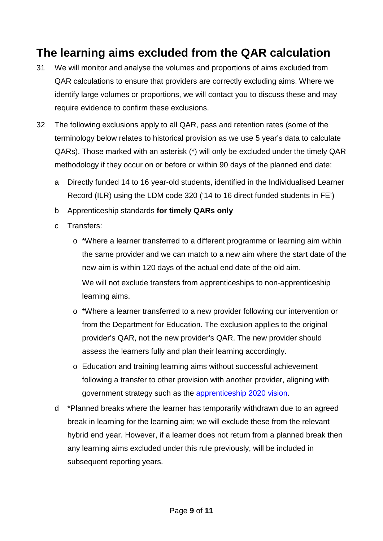## <span id="page-8-0"></span>**The learning aims excluded from the QAR calculation**

- 31 We will monitor and analyse the volumes and proportions of aims excluded from QAR calculations to ensure that providers are correctly excluding aims. Where we identify large volumes or proportions, we will contact you to discuss these and may require evidence to confirm these exclusions.
- 32 The following exclusions apply to all QAR, pass and retention rates (some of the terminology below relates to historical provision as we use 5 year's data to calculate QARs). Those marked with an asterisk (\*) will only be excluded under the timely QAR methodology if they occur on or before or within 90 days of the planned end date:
	- a Directly funded 14 to 16 year-old students, identified in the Individualised Learner Record (ILR) using the LDM code 320 ('14 to 16 direct funded students in FE')
	- b Apprenticeship standards **for timely QARs only**
	- c Transfers:
		- o \*Where a learner transferred to a different programme or learning aim within the same provider and we can match to a new aim where the start date of the new aim is within 120 days of the actual end date of the old aim. We will not exclude transfers from apprenticeships to non-apprenticeship learning aims.
		- o \*Where a learner transferred to a new provider following our intervention or from the Department for Education. The exclusion applies to the original provider's QAR, not the new provider's QAR. The new provider should assess the learners fully and plan their learning accordingly.
		- o Education and training learning aims without successful achievement following a transfer to other provision with another provider, aligning with government strategy such as the [apprenticeship 2020 vision.](https://www.gov.uk/government/publications/apprenticeships-in-england-vision-for-2020)
	- d \*Planned breaks where the learner has temporarily withdrawn due to an agreed break in learning for the learning aim; we will exclude these from the relevant hybrid end year. However, if a learner does not return from a planned break then any learning aims excluded under this rule previously, will be included in subsequent reporting years.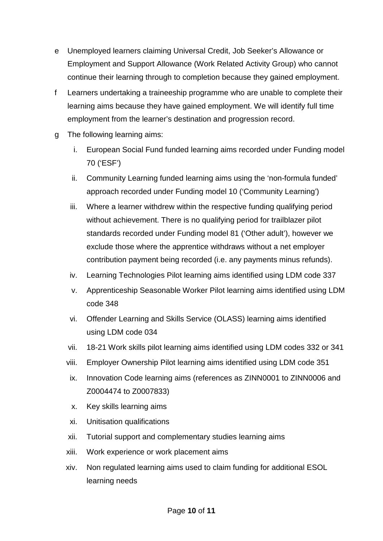- e Unemployed learners claiming Universal Credit, Job Seeker's Allowance or Employment and Support Allowance (Work Related Activity Group) who cannot continue their learning through to completion because they gained employment.
- f Learners undertaking a traineeship programme who are unable to complete their learning aims because they have gained employment. We will identify full time employment from the learner's destination and progression record.
- g The following learning aims:
	- i. European Social Fund funded learning aims recorded under Funding model 70 ('ESF')
	- ii. Community Learning funded learning aims using the 'non-formula funded' approach recorded under Funding model 10 ('Community Learning')
	- iii. Where a learner withdrew within the respective funding qualifying period without achievement. There is no qualifying period for trailblazer pilot standards recorded under Funding model 81 ('Other adult'), however we exclude those where the apprentice withdraws without a net employer contribution payment being recorded (i.e. any payments minus refunds).
	- iv. Learning Technologies Pilot learning aims identified using LDM code 337
	- v. Apprenticeship Seasonable Worker Pilot learning aims identified using LDM code 348
	- vi. Offender Learning and Skills Service (OLASS) learning aims identified using LDM code 034
	- vii. 18-21 Work skills pilot learning aims identified using LDM codes 332 or 341
	- viii. Employer Ownership Pilot learning aims identified using LDM code 351
	- ix. Innovation Code learning aims (references as ZINN0001 to ZINN0006 and Z0004474 to Z0007833)
	- x. Key skills learning aims
	- xi. Unitisation qualifications
	- xii. Tutorial support and complementary studies learning aims
	- xiii. Work experience or work placement aims
	- xiv. Non regulated learning aims used to claim funding for additional ESOL learning needs